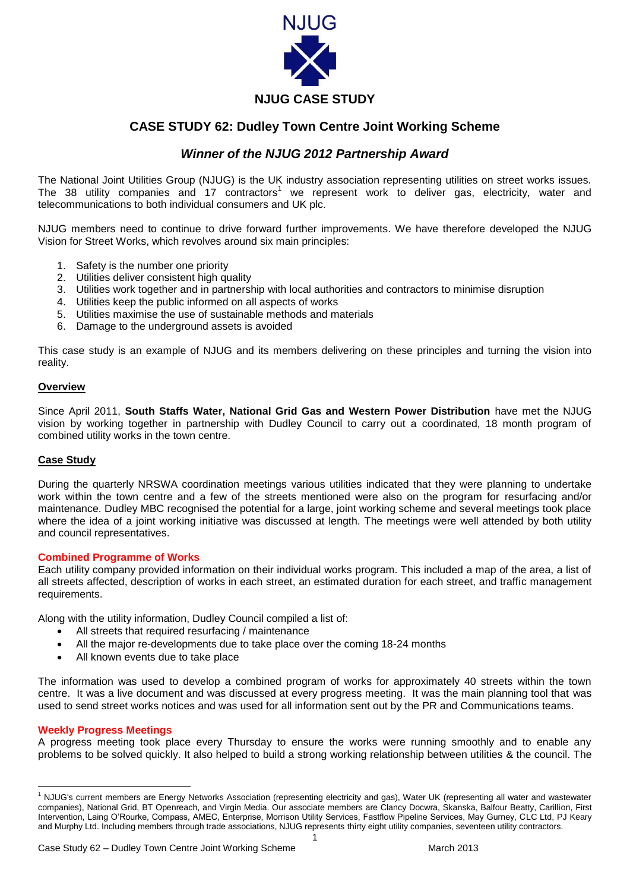

# **CASE STUDY 62: Dudley Town Centre Joint Working Scheme**

## *Winner of the NJUG 2012 Partnership Award*

The National Joint Utilities Group (NJUG) is the UK industry association representing utilities on street works issues. The 38 utility companies and 17 contractors<sup>1</sup> we represent work to deliver gas, electricity, water and telecommunications to both individual consumers and UK plc.

NJUG members need to continue to drive forward further improvements. We have therefore developed the NJUG Vision for Street Works, which revolves around six main principles:

- 1. Safety is the number one priority
- 2. Utilities deliver consistent high quality
- 3. Utilities work together and in partnership with local authorities and contractors to minimise disruption
- 4. Utilities keep the public informed on all aspects of works
- 5. Utilities maximise the use of sustainable methods and materials
- 6. Damage to the underground assets is avoided

This case study is an example of NJUG and its members delivering on these principles and turning the vision into reality.

## **Overview**

Since April 2011, **South Staffs Water, National Grid Gas and Western Power Distribution** have met the NJUG vision by working together in partnership with Dudley Council to carry out a coordinated, 18 month program of combined utility works in the town centre.

#### **Case Study**

During the quarterly NRSWA coordination meetings various utilities indicated that they were planning to undertake work within the town centre and a few of the streets mentioned were also on the program for resurfacing and/or maintenance. Dudley MBC recognised the potential for a large, joint working scheme and several meetings took place where the idea of a joint working initiative was discussed at length. The meetings were well attended by both utility and council representatives.

#### **Combined Programme of Works**

Each utility company provided information on their individual works program. This included a map of the area, a list of all streets affected, description of works in each street, an estimated duration for each street, and traffic management requirements.

Along with the utility information, Dudley Council compiled a list of:

- All streets that required resurfacing / maintenance
- All the major re-developments due to take place over the coming 18-24 months
- All known events due to take place

The information was used to develop a combined program of works for approximately 40 streets within the town centre. It was a live document and was discussed at every progress meeting. It was the main planning tool that was used to send street works notices and was used for all information sent out by the PR and Communications teams.

#### **Weekly Progress Meetings**

**.** 

A progress meeting took place every Thursday to ensure the works were running smoothly and to enable any problems to be solved quickly. It also helped to build a strong working relationship between utilities & the council. The

<sup>&</sup>lt;sup>1</sup> NJUG's current members are Energy Networks Association (representing electricity and gas), Water UK (representing all water and wastewater companies), National Grid, BT Openreach, and Virgin Media. Our associate members are Clancy Docwra, Skanska, Balfour Beatty, Carillion, First Intervention, Laing O'Rourke, Compass, AMEC, Enterprise, Morrison Utility Services, Fastflow Pipeline Services, May Gurney, CLC Ltd, PJ Keary and Murphy Ltd. Including members through trade associations, NJUG represents thirty eight utility companies, seventeen utility contractors.